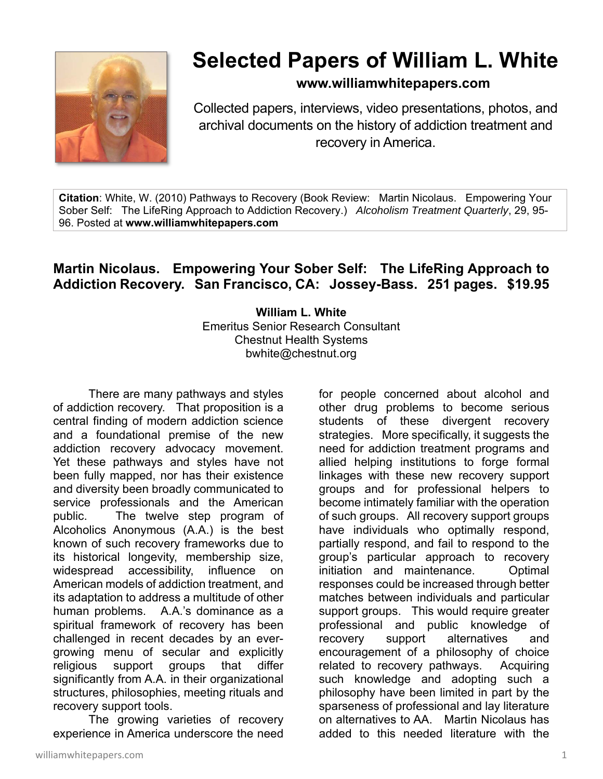

## **Selected Papers of William L. White**

## **www.williamwhitepapers.com**

Collected papers, interviews, video presentations, photos, and archival documents on the history of addiction treatment and recovery in America.

**Citation**: White, W. (2010) Pathways to Recovery (Book Review: Martin Nicolaus. Empowering Your Sober Self: The LifeRing Approach to Addiction Recovery.) *Alcoholism Treatment Quarterly*, 29, 95- 96. Posted at **www.williamwhitepapers.com** 

## **Martin Nicolaus. Empowering Your Sober Self: The LifeRing Approach to Addiction Recovery. San Francisco, CA: Jossey-Bass. 251 pages. \$19.95**

**William L. White**  Emeritus Senior Research Consultant Chestnut Health Systems bwhite@chestnut.org

There are many pathways and styles of addiction recovery. That proposition is a central finding of modern addiction science and a foundational premise of the new addiction recovery advocacy movement. Yet these pathways and styles have not been fully mapped, nor has their existence and diversity been broadly communicated to service professionals and the American public. The twelve step program of Alcoholics Anonymous (A.A.) is the best known of such recovery frameworks due to its historical longevity, membership size, widespread accessibility, influence on American models of addiction treatment, and its adaptation to address a multitude of other human problems. A.A.'s dominance as a spiritual framework of recovery has been challenged in recent decades by an evergrowing menu of secular and explicitly religious support groups that differ significantly from A.A. in their organizational structures, philosophies, meeting rituals and recovery support tools.

 The growing varieties of recovery experience in America underscore the need

williamwhitepapers.com and the set of the set of the set of the set of the set of the set of the set of the set of the set of the set of the set of the set of the set of the set of the set of the set of the set of the set

for people concerned about alcohol and other drug problems to become serious students of these divergent recovery strategies. More specifically, it suggests the need for addiction treatment programs and allied helping institutions to forge formal linkages with these new recovery support groups and for professional helpers to become intimately familiar with the operation of such groups. All recovery support groups have individuals who optimally respond, partially respond, and fail to respond to the group's particular approach to recovery initiation and maintenance. Optimal responses could be increased through better matches between individuals and particular support groups. This would require greater professional and public knowledge of recovery support alternatives and encouragement of a philosophy of choice related to recovery pathways. Acquiring such knowledge and adopting such a philosophy have been limited in part by the sparseness of professional and lay literature on alternatives to AA. Martin Nicolaus has added to this needed literature with the